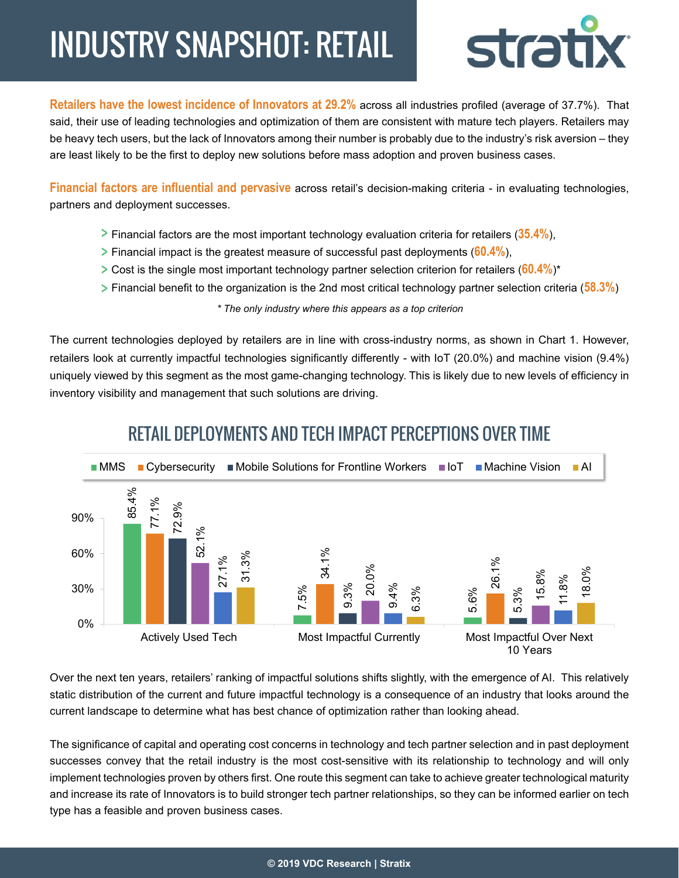## INDUSTRY SNAPSHOT: RETAIL



**Retailers have the lowest incidence of Innovators at 29.2%** across all industries profiled (average of 37.7%). That said, their use of leading technologies and optimization of them are consistent with mature tech players. Retailers may be heavy tech users, but the lack of Innovators among their number is probably due to the industry's risk aversion – they are least likely to be the first to deploy new solutions before mass adoption and proven business cases.

**Financial factors are influential and pervasive** across retail's decision-making criteria - in evaluating technologies, partners and deployment successes.

- Financial factors are the most important technology evaluation criteria for retailers (**35.4%**),
- Financial impact is the greatest measure of successful past deployments (**60.4%**),
- Cost is the single most important technology partner selection criterion for retailers (**60.4%**)\*
- Financial benefit to the organization is the 2nd most critical technology partner selection criteria (**58.3%**)

*\* The only industry where this appears as a top criterion*

The current technologies deployed by retailers are in line with cross-industry norms, as shown in Chart 1. However, retailers look at currently impactful technologies significantly differently - with IoT (20.0%) and machine vision (9.4%) uniquely viewed by this segment as the most game-changing technology. This is likely due to new levels of efficiency in inventory visibility and management that such solutions are driving.



## RETAIL DEPLOYMENTS AND TECH IMPACT PERCEPTIONS OVER TIME

Over the next ten years, retailers' ranking of impactful solutions shifts slightly, with the emergence of AI. This relatively static distribution of the current and future impactful technology is a consequence of an industry that looks around the current landscape to determine what has best chance of optimization rather than looking ahead.

The significance of capital and operating cost concerns in technology and tech partner selection and in past deployment successes convey that the retail industry is the most cost-sensitive with its relationship to technology and will only implement technologies proven by others first. One route this segment can take to achieve greater technological maturity and increase its rate of Innovators is to build stronger tech partner relationships, so they can be informed earlier on tech type has a feasible and proven business cases.